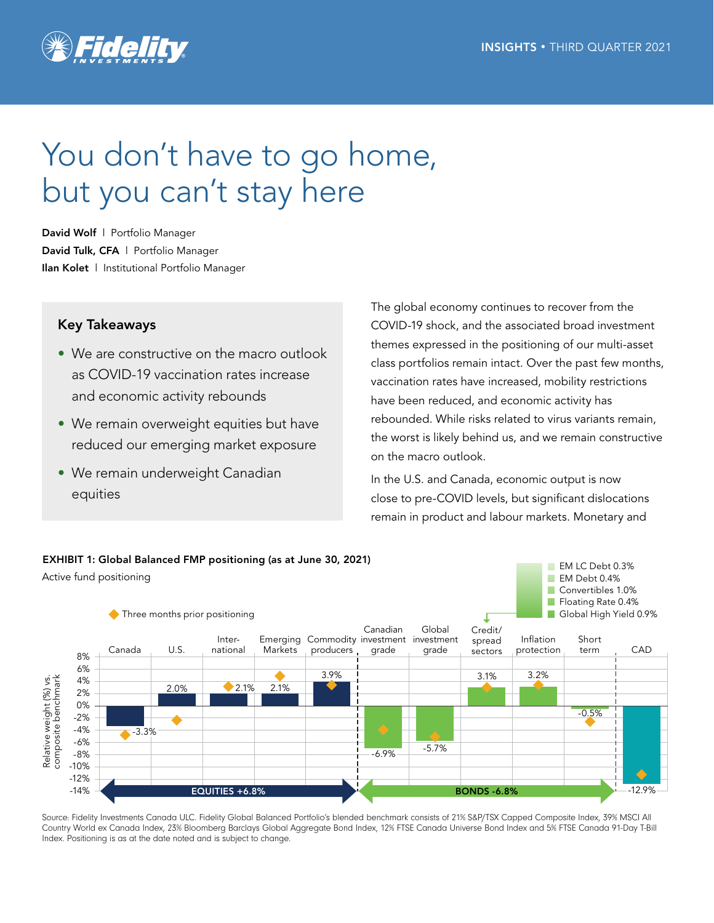

# You don't have to go home, but you can't stay here

David Wolf | Portfolio Manager David Tulk, CFA | Portfolio Manager Ilan Kolet | Institutional Portfolio Manager

## Key Takeaways

- We are constructive on the macro outlook as COVID-19 vaccination rates increase and economic activity rebounds
- We remain overweight equities but have reduced our emerging market exposure
- We remain underweight Canadian equities

The global economy continues to recover from the COVID-19 shock, and the associated broad investment themes expressed in the positioning of our multi-asset class portfolios remain intact. Over the past few months, vaccination rates have increased, mobility restrictions have been reduced, and economic activity has rebounded. While risks related to virus variants remain, the worst is likely behind us, and we remain constructive on the macro outlook.

In the U.S. and Canada, economic output is now close to pre-COVID levels, but significant dislocations remain in product and labour markets. Monetary and



Source: Fidelity Investments Canada ULC. Fidelity Global Balanced Portfolio's blended benchmark consists of 21% S&P/TSX Capped Composite Index, 39% MSCI All Country World ex Canada Index, 23% Bloomberg Barclays Global Aggregate Bond Index, 12% FTSE Canada Universe Bond Index and 5% FTSE Canada 91-Day T-Bill Index. Positioning is as at the date noted and is subject to change.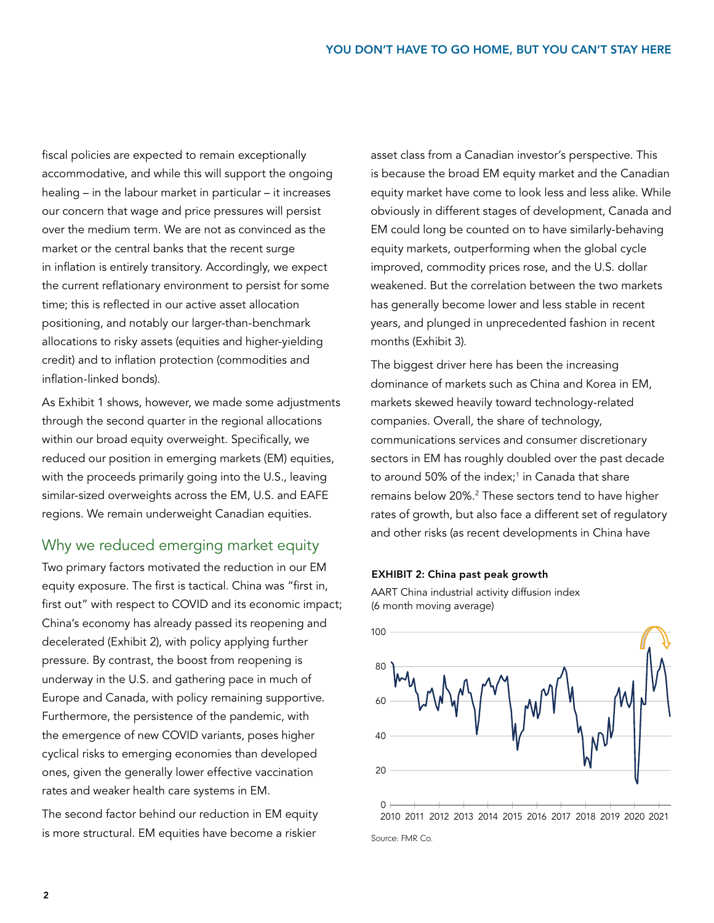fiscal policies are expected to remain exceptionally accommodative, and while this will support the ongoing healing – in the labour market in particular – it increases our concern that wage and price pressures will persist over the medium term. We are not as convinced as the market or the central banks that the recent surge in inflation is entirely transitory. Accordingly, we expect the current reflationary environment to persist for some time; this is reflected in our active asset allocation positioning, and notably our larger-than-benchmark allocations to risky assets (equities and higher-yielding credit) and to inflation protection (commodities and inflation-linked bonds).

As Exhibit 1 shows, however, we made some adjustments through the second quarter in the regional allocations within our broad equity overweight. Specifically, we reduced our position in emerging markets (EM) equities, with the proceeds primarily going into the U.S., leaving similar-sized overweights across the EM, U.S. and EAFE regions. We remain underweight Canadian equities.

## Why we reduced emerging market equity

Two primary factors motivated the reduction in our EM equity exposure. The first is tactical. China was "first in, first out" with respect to COVID and its economic impact; China's economy has already passed its reopening and decelerated (Exhibit 2), with policy applying further pressure. By contrast, the boost from reopening is underway in the U.S. and gathering pace in much of Europe and Canada, with policy remaining supportive. Furthermore, the persistence of the pandemic, with the emergence of new COVID variants, poses higher cyclical risks to emerging economies than developed ones, given the generally lower effective vaccination rates and weaker health care systems in EM.

The second factor behind our reduction in EM equity is more structural. EM equities have become a riskier

asset class from a Canadian investor's perspective. This is because the broad EM equity market and the Canadian equity market have come to look less and less alike. While obviously in different stages of development, Canada and EM could long be counted on to have similarly-behaving equity markets, outperforming when the global cycle improved, commodity prices rose, and the U.S. dollar weakened. But the correlation between the two markets has generally become lower and less stable in recent years, and plunged in unprecedented fashion in recent months (Exhibit 3).

The biggest driver here has been the increasing dominance of markets such as China and Korea in EM, markets skewed heavily toward technology-related companies. Overall, the share of technology, communications services and consumer discretionary sectors in EM has roughly doubled over the past decade to around 50% of the index;<sup>1</sup> in Canada that share remains below 20%.2 These sectors tend to have higher rates of growth, but also face a different set of regulatory and other risks (as recent developments in China have

### EXHIBIT 2: China past peak growth

AART China industrial activity diffusion index (6 month moving average)



Source: FMR Co.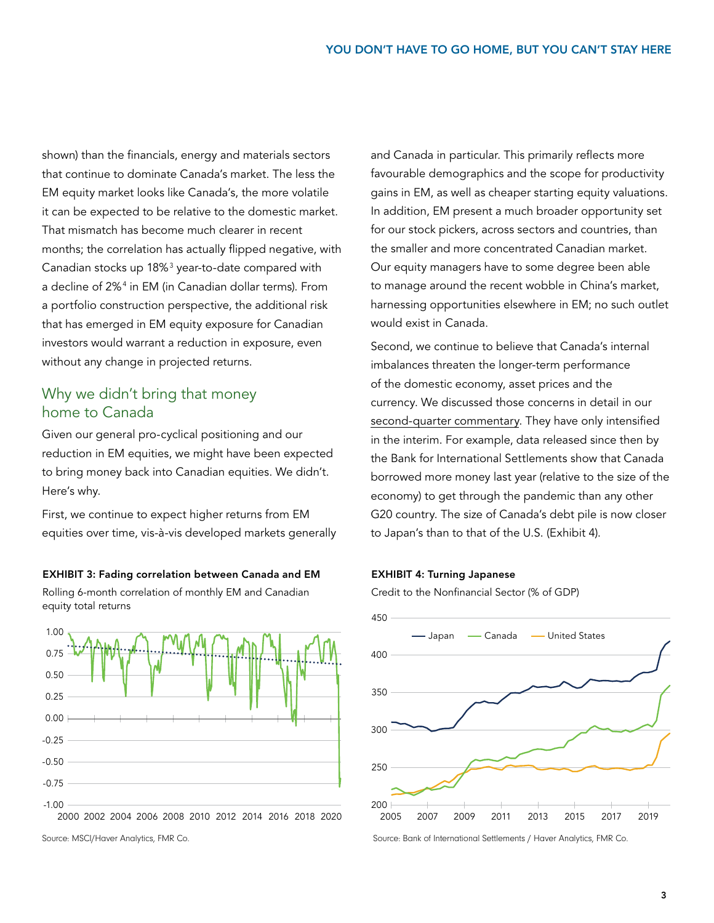shown) than the financials, energy and materials sectors that continue to dominate Canada's market. The less the EM equity market looks like Canada's, the more volatile it can be expected to be relative to the domestic market. That mismatch has become much clearer in recent months; the correlation has actually flipped negative, with Canadian stocks up 18% $^3$  year-to-date compared with a decline of 2%4 in EM (in Canadian dollar terms). From a portfolio construction perspective, the additional risk that has emerged in EM equity exposure for Canadian investors would warrant a reduction in exposure, even without any change in projected returns.

## Why we didn't bring that money home to Canada

Given our general pro-cyclical positioning and our reduction in EM equities, we might have been expected to bring money back into Canadian equities. We didn't. Here's why.

First, we continue to expect higher returns from EM equities over time, vis-à-vis developed markets generally

EXHIBIT 3: Fading correlation between Canada and EM Rolling 6-month correlation of monthly EM and Canadian equity total returns



Source: MSCI/Haver Analytics, FMR Co.

and Canada in particular. This primarily reflects more favourable demographics and the scope for productivity gains in EM, as well as cheaper starting equity valuations. In addition, EM present a much broader opportunity set for our stock pickers, across sectors and countries, than the smaller and more concentrated Canadian market. Our equity managers have to some degree been able to manage around the recent wobble in China's market, harnessing opportunities elsewhere in EM; no such outlet would exist in Canada.

Second, we continue to believe that Canada's internal imbalances threaten the longer-term performance of the domestic economy, asset prices and the currency. We discussed those concerns in detail in our [second-quarter commentary](https://www.fidelity.ca/cs/Satellite/doc/tulk_wolf_asset_allocation_canadian_concerns_q22021.pdf). They have only intensified in the interim. For example, data released since then by the Bank for International Settlements show that Canada borrowed more money last year (relative to the size of the economy) to get through the pandemic than any other G20 country. The size of Canada's debt pile is now closer to Japan's than to that of the U.S. (Exhibit 4).

#### EXHIBIT 4: Turning Japanese

Credit to the Nonfinancial Sector (% of GDP)



Source: Bank of International Settlements / Haver Analytics, FMR Co.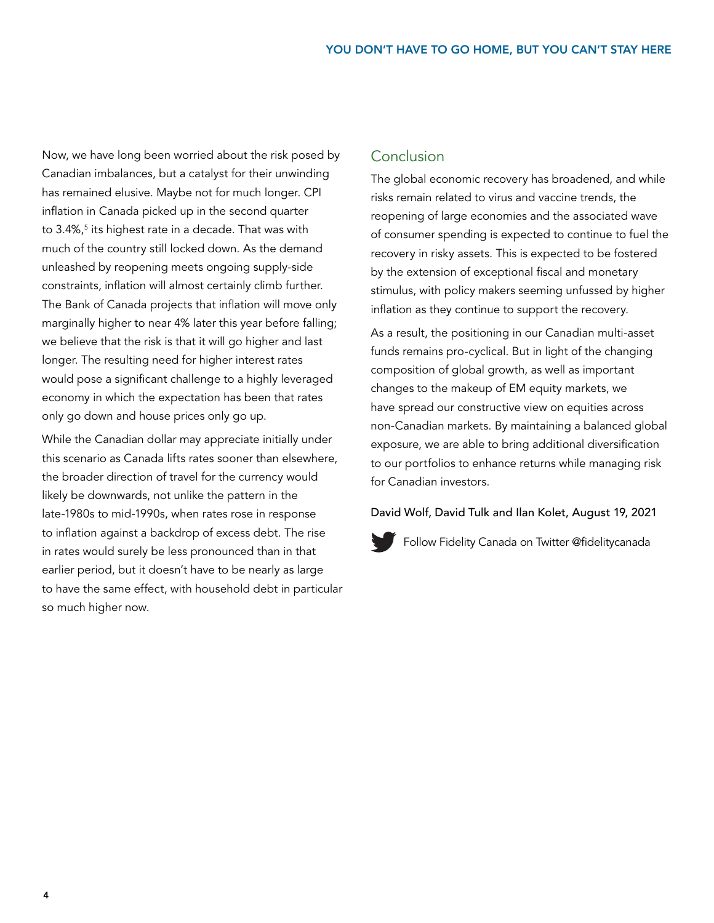Now, we have long been worried about the risk posed by Canadian imbalances, but a catalyst for their unwinding has remained elusive. Maybe not for much longer. CPI inflation in Canada picked up in the second quarter to 3.4%,<sup>5</sup> its highest rate in a decade. That was with much of the country still locked down. As the demand unleashed by reopening meets ongoing supply-side constraints, inflation will almost certainly climb further. The Bank of Canada projects that inflation will move only marginally higher to near 4% later this year before falling; we believe that the risk is that it will go higher and last longer. The resulting need for higher interest rates would pose a significant challenge to a highly leveraged economy in which the expectation has been that rates only go down and house prices only go up.

While the Canadian dollar may appreciate initially under this scenario as Canada lifts rates sooner than elsewhere, the broader direction of travel for the currency would likely be downwards, not unlike the pattern in the late-1980s to mid-1990s, when rates rose in response to inflation against a backdrop of excess debt. The rise in rates would surely be less pronounced than in that earlier period, but it doesn't have to be nearly as large to have the same effect, with household debt in particular so much higher now.

## Conclusion

The global economic recovery has broadened, and while risks remain related to virus and vaccine trends, the reopening of large economies and the associated wave of consumer spending is expected to continue to fuel the recovery in risky assets. This is expected to be fostered by the extension of exceptional fiscal and monetary stimulus, with policy makers seeming unfussed by higher inflation as they continue to support the recovery.

As a result, the positioning in our Canadian multi-asset funds remains pro-cyclical. But in light of the changing composition of global growth, as well as important changes to the makeup of EM equity markets, we have spread our constructive view on equities across non-Canadian markets. By maintaining a balanced global exposure, we are able to bring additional diversification to our portfolios to enhance returns while managing risk for Canadian investors.

David Wolf, David Tulk and Ilan Kolet, August 19, 2021



[Follow Fidelity Canada on Twitter @fidelitycanada](https://twitter.com/fidelitycanada)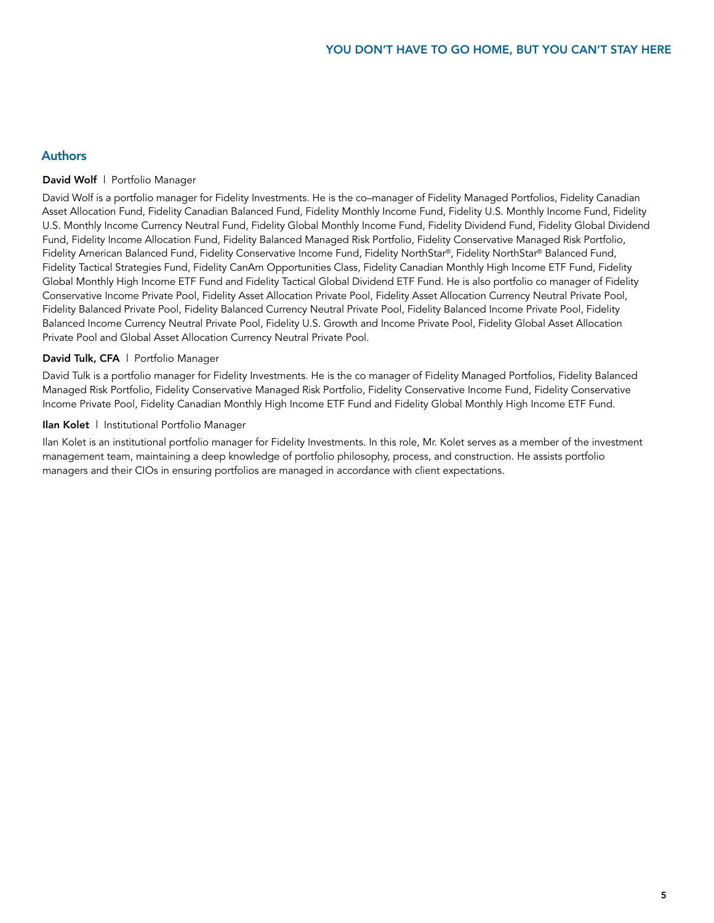## Authors

#### David Wolf | Portfolio Manager

David Wolf is a portfolio manager for Fidelity Investments. He is the co–manager of Fidelity Managed Portfolios, Fidelity Canadian Asset Allocation Fund, Fidelity Canadian Balanced Fund, Fidelity Monthly Income Fund, Fidelity U.S. Monthly Income Fund, Fidelity U.S. Monthly Income Currency Neutral Fund, Fidelity Global Monthly Income Fund, Fidelity Dividend Fund, Fidelity Global Dividend Fund, Fidelity Income Allocation Fund, Fidelity Balanced Managed Risk Portfolio, Fidelity Conservative Managed Risk Portfolio, Fidelity American Balanced Fund, Fidelity Conservative Income Fund, Fidelity NorthStar®, Fidelity NorthStar® Balanced Fund, Fidelity Tactical Strategies Fund, Fidelity CanAm Opportunities Class, Fidelity Canadian Monthly High Income ETF Fund, Fidelity Global Monthly High Income ETF Fund and Fidelity Tactical Global Dividend ETF Fund. He is also portfolio co manager of Fidelity Conservative Income Private Pool, Fidelity Asset Allocation Private Pool, Fidelity Asset Allocation Currency Neutral Private Pool, Fidelity Balanced Private Pool, Fidelity Balanced Currency Neutral Private Pool, Fidelity Balanced Income Private Pool, Fidelity Balanced Income Currency Neutral Private Pool, Fidelity U.S. Growth and Income Private Pool, Fidelity Global Asset Allocation Private Pool and Global Asset Allocation Currency Neutral Private Pool.

### David Tulk, CFA | Portfolio Manager

David Tulk is a portfolio manager for Fidelity Investments. He is the co manager of Fidelity Managed Portfolios, Fidelity Balanced Managed Risk Portfolio, Fidelity Conservative Managed Risk Portfolio, Fidelity Conservative Income Fund, Fidelity Conservative Income Private Pool, Fidelity Canadian Monthly High Income ETF Fund and Fidelity Global Monthly High Income ETF Fund.

#### Ilan Kolet | Institutional Portfolio Manager

Ilan Kolet is an institutional portfolio manager for Fidelity Investments. In this role, Mr. Kolet serves as a member of the investment management team, maintaining a deep knowledge of portfolio philosophy, process, and construction. He assists portfolio managers and their CIOs in ensuring portfolios are managed in accordance with client expectations.